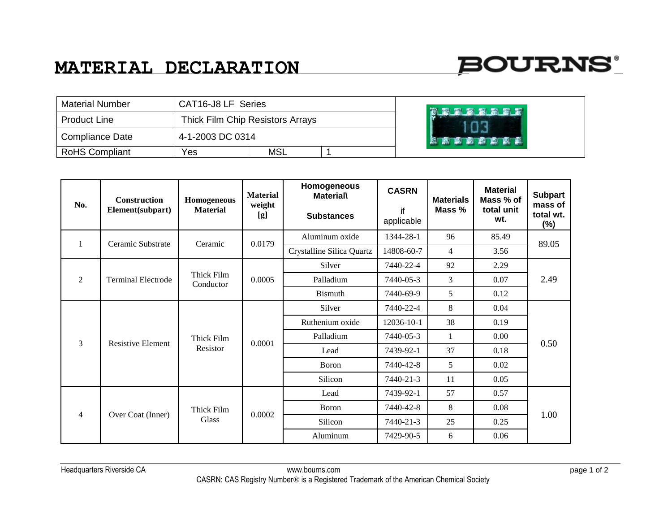## **BOURNS**

| <b>Material Number</b> | CAT16-J8 LF Series               |            |  | 窗窗窗窗窗窗  |
|------------------------|----------------------------------|------------|--|---------|
| <b>Product Line</b>    | Thick Film Chip Resistors Arrays |            |  |         |
| Compliance Date        | 4-1-2003 DC 0314                 |            |  | 國家國國國國區 |
| <b>RoHS Compliant</b>  | Yes                              | <b>MSL</b> |  |         |

| No.            | <b>Construction</b><br>Element(subpart) | Homogeneous<br><b>Material</b> | <b>Material</b><br>weight<br>[g] | Homogeneous<br><b>Material\</b><br><b>Substances</b> | <b>CASRN</b><br>if<br>applicable | <b>Materials</b><br>Mass % | <b>Material</b><br>Mass % of<br>total unit<br>wt. | <b>Subpart</b><br>mass of<br>total wt.<br>(%) |
|----------------|-----------------------------------------|--------------------------------|----------------------------------|------------------------------------------------------|----------------------------------|----------------------------|---------------------------------------------------|-----------------------------------------------|
| 1              | Ceramic Substrate                       | Ceramic                        | 0.0179                           | Aluminum oxide                                       | 1344-28-1                        | 96                         | 85.49                                             | 89.05                                         |
|                |                                         |                                |                                  | Crystalline Silica Quartz                            | 14808-60-7                       | 4                          | 3.56                                              |                                               |
| $\overline{2}$ |                                         | Thick Film<br>Conductor        | 0.0005                           | Silver                                               | 7440-22-4                        | 92                         | 2.29                                              | 2.49                                          |
|                | <b>Terminal Electrode</b>               |                                |                                  | Palladium                                            | 7440-05-3                        | 3                          | 0.07                                              |                                               |
|                |                                         |                                |                                  | <b>Bismuth</b>                                       | 7440-69-9                        | 5                          | 0.12                                              |                                               |
| 3              | <b>Resistive Element</b>                | Thick Film<br>Resistor         | 0.0001                           | Silver                                               | 7440-22-4                        | 8                          | 0.04                                              | 0.50                                          |
|                |                                         |                                |                                  | Ruthenium oxide                                      | 12036-10-1                       | 38                         | 0.19                                              |                                               |
|                |                                         |                                |                                  | Palladium                                            | 7440-05-3                        | 1                          | $0.00\,$                                          |                                               |
|                |                                         |                                |                                  | Lead                                                 | 7439-92-1                        | 37                         | 0.18                                              |                                               |
|                |                                         |                                |                                  | Boron                                                | 7440-42-8                        | 5                          | 0.02                                              |                                               |
|                |                                         |                                |                                  | Silicon                                              | 7440-21-3                        | 11                         | 0.05                                              |                                               |
| $\overline{4}$ | Over Coat (Inner)                       | Thick Film<br>Glass            | 0.0002                           | Lead                                                 | 7439-92-1                        | 57                         | 0.57                                              | 1.00                                          |
|                |                                         |                                |                                  | Boron                                                | 7440-42-8                        | 8                          | 0.08                                              |                                               |
|                |                                         |                                |                                  | Silicon                                              | 7440-21-3                        | 25                         | 0.25                                              |                                               |
|                |                                         |                                |                                  | Aluminum                                             | 7429-90-5                        | 6                          | 0.06                                              |                                               |